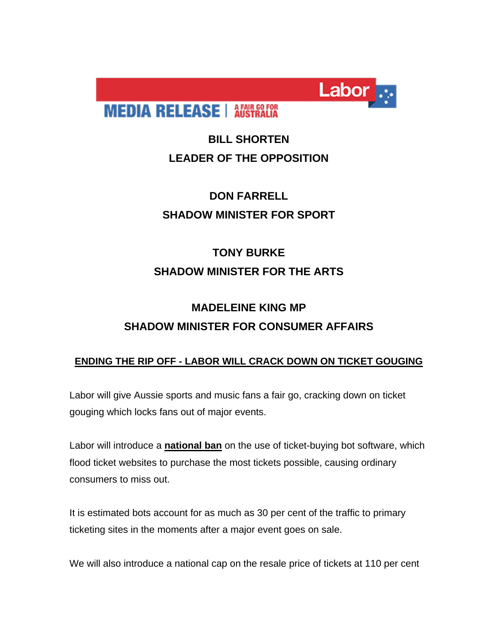

**MEDIA RELEASE | AFAIR GO FOR** 

### **BILL SHORTEN LEADER OF THE OPPOSITION**

## **DON FARRELL SHADOW MINISTER FOR SPORT**

# **TONY BURKE SHADOW MINISTER FOR THE ARTS**

# **MADELEINE KING MP SHADOW MINISTER FOR CONSUMER AFFAIRS**

### **ENDING THE RIP OFF - LABOR WILL CRACK DOWN ON TICKET GOUGING**

Labor will give Aussie sports and music fans a fair go, cracking down on ticket gouging which locks fans out of major events.

Labor will introduce a **national ban** on the use of ticket-buying bot software, which flood ticket websites to purchase the most tickets possible, causing ordinary consumers to miss out.

It is estimated bots account for as much as 30 per cent of the traffic to primary ticketing sites in the moments after a major event goes on sale.

We will also introduce a national cap on the resale price of tickets at 110 per cent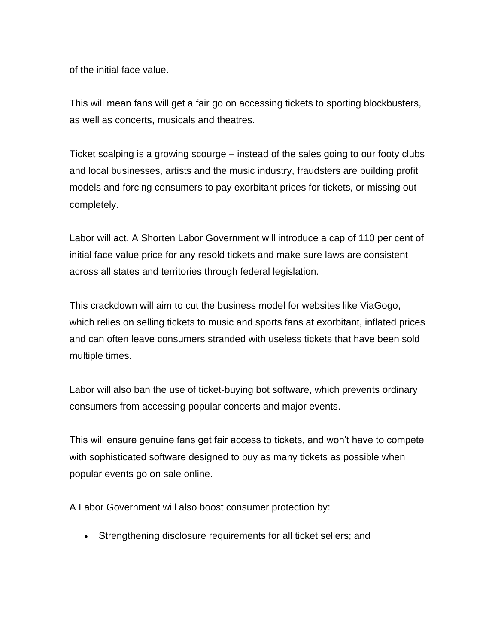of the initial face value.

This will mean fans will get a fair go on accessing tickets to sporting blockbusters, as well as concerts, musicals and theatres.

Ticket scalping is a growing scourge – instead of the sales going to our footy clubs and local businesses, artists and the music industry, fraudsters are building profit models and forcing consumers to pay exorbitant prices for tickets, or missing out completely.

Labor will act. A Shorten Labor Government will introduce a cap of 110 per cent of initial face value price for any resold tickets and make sure laws are consistent across all states and territories through federal legislation.

This crackdown will aim to cut the business model for websites like ViaGogo, which relies on selling tickets to music and sports fans at exorbitant, inflated prices and can often leave consumers stranded with useless tickets that have been sold multiple times.

Labor will also ban the use of ticket-buying bot software, which prevents ordinary consumers from accessing popular concerts and major events.

This will ensure genuine fans get fair access to tickets, and won't have to compete with sophisticated software designed to buy as many tickets as possible when popular events go on sale online.

A Labor Government will also boost consumer protection by:

Strengthening disclosure requirements for all ticket sellers; and